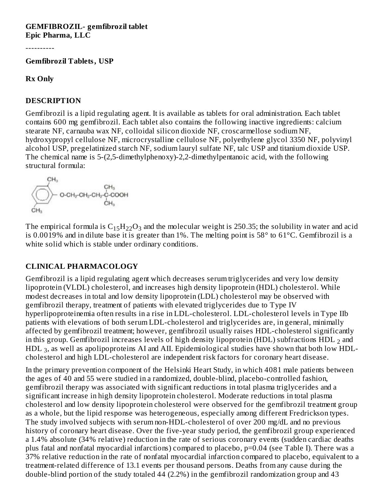#### **GEMFIBROZIL- gemfibrozil tablet Epic Pharma, LLC**

----------

#### **Gemfibrozil Tablets, USP**

#### **Rx Only**

#### **DESCRIPTION**

Gemfibrozil is a lipid regulating agent. It is available as tablets for oral administration. Each tablet contains 600 mg gemfibrozil. Each tablet also contains the following inactive ingredients: calcium stearate NF, carnauba wax NF, colloidal silicon dioxide NF, croscarmellose sodium NF, hydroxypropyl cellulose NF, microcrystalline cellulose NF, polyethylene glycol 3350 NF, polyvinyl alcohol USP, pregelatinized starch NF, sodium lauryl sulfate NF, talc USP and titanium dioxide USP. The chemical name is 5-(2,5-dimethylphenoxy)-2,2-dimethylpentanoic acid, with the following structural formula:



The empirical formula is  $\rm{C_{15}H_{22}O_{3}}$  and the molecular weight is 250.35; the solubility in water and acid is 0.0019% and in dilute base it is greater than 1%. The melting point is 58° to 61°C. Gemfibrozil is a white solid which is stable under ordinary conditions.

# **CLINICAL PHARMACOLOGY**

Gemfibrozil is a lipid regulating agent which decreases serum triglycerides and very low density lipoprotein (VLDL) cholesterol, and increases high density lipoprotein (HDL) cholesterol. While modest decreases in total and low density lipoprotein (LDL) cholesterol may be observed with gemfibrozil therapy, treatment of patients with elevated triglycerides due to Type IV hyperlipoproteinemia often results in a rise in LDL-cholesterol. LDL-cholesterol levels in Type IIb patients with elevations of both serum LDL-cholesterol and triglycerides are, in general, minimally affected by gemfibrozil treatment; however, gemfibrozil usually raises HDL-cholesterol significantly in this group. Gemfibrozil increases levels of high density lipoprotein (HDL) subfractions HDL  $_{\rm 2}$  and  ${\rm HDL}$   $_3$ , as well as apolipoproteins AI and AII. Epidemiological studies have shown that both low  ${\rm HDL}$ cholesterol and high LDL-cholesterol are independent risk factors for coronary heart disease.

In the primary prevention component of the Helsinki Heart Study, in which 4081 male patients between the ages of 40 and 55 were studied in a randomized, double-blind, placebo-controlled fashion, gemfibrozil therapy was associated with significant reductions in total plasma triglycerides and a significant increase in high density lipoprotein cholesterol. Moderate reductions in total plasma cholesterol and low density lipoprotein cholesterol were observed for the gemfibrozil treatment group as a whole, but the lipid response was heterogeneous, especially among different Fredrickson types. The study involved subjects with serum non-HDL-cholesterol of over 200 mg/dL and no previous history of coronary heart disease. Over the five-year study period, the gemfibrozil group experienced a 1.4% absolute (34% relative) reduction in the rate of serious coronary events (sudden cardiac deaths plus fatal and nonfatal myocardial infarctions) compared to placebo, p=0.04 (see Table I). There was a 37% relative reduction in the rate of nonfatal myocardial infarction compared to placebo, equivalent to a treatment-related difference of 13.1 events per thousand persons. Deaths from any cause during the double-blind portion of the study totaled 44 (2.2%) in the gemfibrozil randomization group and 43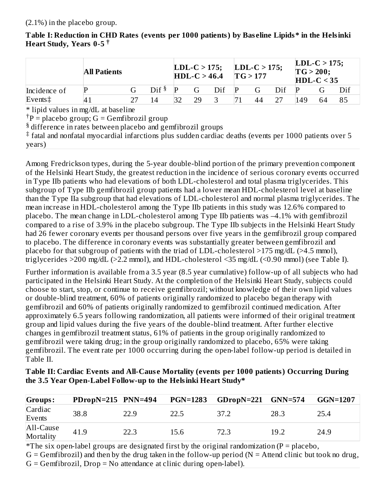**Table I: Reduction in CHD Rates (events per 1000 patients) by Bas eline Lipids\* in the Helsinki Heart Study, Years 0-5 †**

|                      | <b>All Patients</b> |  |                  | $LDL-C > 175;$<br>$HDL-C > 46.4$ |    | $LDL-C > 175;$<br>TG > 177 |  | $LDL-C > 175;$<br>$TG > 200$ ;<br>$HDL-C < 35$ |     |     |    |     |
|----------------------|---------------------|--|------------------|----------------------------------|----|----------------------------|--|------------------------------------------------|-----|-----|----|-----|
| Incidence of         |                     |  | $\mathrm{Dif}$ § |                                  |    | Dif                        |  |                                                | Dif |     |    | Dif |
| $E$ vents $\ddagger$ | 4 <sub>1</sub>      |  | 14               | 32                               | 29 |                            |  | 44                                             |     | 149 | 64 | 85  |

\* lipid values in mg/dL at baseline

<sup>†</sup>P = placebo group; G = Gemfibrozil group

§ difference in rates between placebo and gemfibrozil groups

 $\ddagger$  fatal and nonfatal myocardial infarctions plus sudden cardiac deaths (events per 1000 patients over 5 years)

Among Fredrickson types, during the 5-year double-blind portion of the primary prevention component of the Helsinki Heart Study, the greatest reduction in the incidence of serious coronary events occurred in Type IIb patients who had elevations of both LDL-cholesterol and total plasma triglycerides. This subgroup of Type IIb gemfibrozil group patients had a lower mean HDL-cholesterol level at baseline than the Type IIa subgroup that had elevations of LDL-cholesterol and normal plasma triglycerides. The mean increase in HDL-cholesterol among the Type IIb patients in this study was 12.6% compared to placebo. The mean change in LDL-cholesterol among Type IIb patients was –4.1% with gemfibrozil compared to a rise of 3.9% in the placebo subgroup. The Type IIb subjects in the Helsinki Heart Study had 26 fewer coronary events per thousand persons over five years in the gemfibrozil group compared to placebo. The difference in coronary events was substantially greater between gemfibrozil and placebo for that subgroup of patients with the triad of LDL-cholesterol >175 mg/dL (>4.5 mmol), triglycerides >200 mg/dL (>2.2 mmol), and HDL-cholesterol <35 mg/dL (<0.90 mmol) (see Table I).

Further information is available from a 3.5 year (8.5 year cumulative) follow-up of all subjects who had participated in the Helsinki Heart Study. At the completion of the Helsinki Heart Study, subjects could choose to start, stop, or continue to receive gemfibrozil; without knowledge of their own lipid values or double-blind treatment, 60% of patients originally randomized to placebo began therapy with gemfibrozil and 60% of patients originally randomized to gemfibrozil continued medication. After approximately 6.5 years following randomization, all patients were informed of their original treatment group and lipid values during the five years of the double-blind treatment. After further elective changes in gemfibrozil treatment status, 61% of patients in the group originally randomized to gemfibrozil were taking drug; in the group originally randomized to placebo, 65% were taking gemfibrozil. The event rate per 1000 occurring during the open-label follow-up period is detailed in Table II.

| Table II: Cardiac Events and All-Cause Mortality (events per 1000 patients) Occurring During |  |
|----------------------------------------------------------------------------------------------|--|
| the 3.5 Year Open-Label Follow-up to the Helsinki Heart Study*                               |  |

| Groups:                | $PDropN=215$ $PNN=494$ |      |      | PGN=1283 GDropN=221 GNN=574 |      | $GGN=1207$ |
|------------------------|------------------------|------|------|-----------------------------|------|------------|
| Cardiac<br>Events      | 38.8                   | 22.9 | 22.5 | 37.2                        | 28.3 | 25.4       |
| All-Cause<br>Mortality | 41.9                   | 22.3 | 15.6 | 72.3                        | 19.2 | 24.9       |

\*The six open-label groups are designated first by the original randomization  $(P = placebo,$  $G =$  Gemfibrozil) and then by the drug taken in the follow-up period (N = Attend clinic but took no drug,  $G =$  Gemfibrozil, Drop = No attendance at clinic during open-label).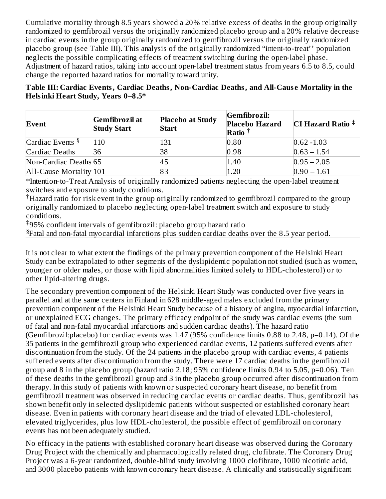Cumulative mortality through 8.5 years showed a 20% relative excess of deaths in the group originally randomized to gemfibrozil versus the originally randomized placebo group and a 20% relative decrease in cardiac events in the group originally randomized to gemfibrozil versus the originally randomized placebo group (see Table III). This analysis of the originally randomized "intent-to-treat'' population neglects the possible complicating effects of treatment switching during the open-label phase. Adjustment of hazard ratios, taking into account open-label treatment status from years 6.5 to 8.5, could change the reported hazard ratios for mortality toward unity.

**Table III: Cardiac Events, Cardiac Deaths, Non-Cardiac Deaths, and All-Caus e Mortality in the Helsinki Heart Study, Years 0–8.5\***

| Event                       | Gemfibrozil at<br><b>Study Start</b> | <b>Placebo at Study</b><br><b>Start</b> | Gemfibrozil:<br><b>Placebo Hazard</b><br>Ratio <sup>†</sup> | CI Hazard Ratio $\ddagger$ |
|-----------------------------|--------------------------------------|-----------------------------------------|-------------------------------------------------------------|----------------------------|
| Cardiac Events <sup>§</sup> | 110                                  | 131                                     | 0.80                                                        | $ 0.62 - 1.03 $            |
| Cardiac Deaths              | 36                                   | 38                                      | 0.98                                                        | $0.63 - 1.54$              |
| Non-Cardiac Deaths 65       |                                      | 45                                      | 1.40                                                        | $ 0.95 - 2.05 $            |
| All-Cause Mortality 101     |                                      | 83                                      | 1.20                                                        | $ 0.90 - 1.61 $            |

\*Intention-to-Treat Analysis of originally randomized patients neglecting the open-label treatment switches and exposure to study conditions.

Hazard ratio for risk event in the group originally randomized to gemfibrozil compared to the group † originally randomized to placebo neglecting open-label treatment switch and exposure to study conditions.

 $\ddagger$ 95% confident intervals of gemfibrozil: placebo group hazard ratio  $\S$ Fatal and non-fatal myocardial infarctions plus sudden cardiac deaths over the 8.5 year period.

It is not clear to what extent the findings of the primary prevention component of the Helsinki Heart Study can be extrapolated to other segments of the dyslipidemic population not studied (such as women, younger or older males, or those with lipid abnormalities limited solely to HDL-cholesterol) or to other lipid-altering drugs.

The secondary prevention component of the Helsinki Heart Study was conducted over five years in parallel and at the same centers in Finland in 628 middle-aged males excluded from the primary prevention component of the Helsinki Heart Study because of a history of angina, myocardial infarction, or unexplained ECG changes. The primary efficacy endpoint of the study was cardiac events (the sum of fatal and non-fatal myocardial infarctions and sudden cardiac deaths). The hazard ratio (Gemfibrozil:placebo) for cardiac events was 1.47 (95% confidence limits 0.88 to 2.48, p=0.14). Of the 35 patients in the gemfibrozil group who experienced cardiac events, 12 patients suffered events after discontinuation from the study. Of the 24 patients in the placebo group with cardiac events, 4 patients suffered events after discontinuation from the study. There were 17 cardiac deaths in the gemfibrozil group and 8 in the placebo group (hazard ratio 2.18; 95% confidence limits 0.94 to 5.05, p=0.06). Ten of these deaths in the gemfibrozil group and 3 in the placebo group occurred after discontinuation from therapy. In this study of patients with known or suspected coronary heart disease, no benefit from gemfibrozil treatment was observed in reducing cardiac events or cardiac deaths. Thus, gemfibrozil has shown benefit only in selected dyslipidemic patients without suspected or established coronary heart disease. Even in patients with coronary heart disease and the triad of elevated LDL-cholesterol, elevated triglycerides, plus low HDL-cholesterol, the possible effect of gemfibrozil on coronary events has not been adequately studied.

No efficacy in the patients with established coronary heart disease was observed during the Coronary Drug Project with the chemically and pharmacologically related drug, clofibrate. The Coronary Drug Project was a 6-year randomized, double-blind study involving 1000 clofibrate, 1000 nicotinic acid, and 3000 placebo patients with known coronary heart disease. A clinically and statistically significant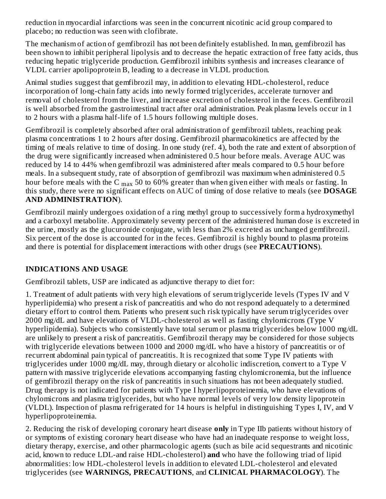reduction in myocardial infarctions was seen in the concurrent nicotinic acid group compared to placebo; no reduction was seen with clofibrate.

The mechanism of action of gemfibrozil has not been definitely established. In man, gemfibrozil has been shown to inhibit peripheral lipolysis and to decrease the hepatic extraction of free fatty acids, thus reducing hepatic triglyceride production. Gemfibrozil inhibits synthesis and increases clearance of VLDL carrier apolipoprotein B, leading to a decrease in VLDL production.

Animal studies suggest that gemfibrozil may, in addition to elevating HDL-cholesterol, reduce incorporation of long-chain fatty acids into newly formed triglycerides, accelerate turnover and removal of cholesterol from the liver, and increase excretion of cholesterol in the feces. Gemfibrozil is well absorbed from the gastrointestinal tract after oral administration. Peak plasma levels occur in 1 to 2 hours with a plasma half-life of 1.5 hours following multiple doses.

Gemfibrozil is completely absorbed after oral administration of gemfibrozil tablets, reaching peak plasma concentrations 1 to 2 hours after dosing. Gemfibrozil pharmacokinetics are affected by the timing of meals relative to time of dosing. In one study (ref. 4), both the rate and extent of absorption of the drug were significantly increased when administered 0.5 hour before meals. Average AUC was reduced by 14 to 44% when gemfibrozil was administered after meals compared to 0.5 hour before meals. In a subsequent study, rate of absorption of gemfibrozil was maximum when administered 0.5 hour before meals with the C  $_{\rm max}$  50 to 60% greater than when given either with meals or fasting. In this study, there were no significant effects on AUC of timing of dose relative to meals (see **DOSAGE AND ADMINISTRATION**).

Gemfibrozil mainly undergoes oxidation of a ring methyl group to successively form a hydroxymethyl and a carboxyl metabolite. Approximately seventy percent of the administered human dose is excreted in the urine, mostly as the glucuronide conjugate, with less than 2% excreted as unchanged gemfibrozil. Six percent of the dose is accounted for in the feces. Gemfibrozil is highly bound to plasma proteins and there is potential for displacement interactions with other drugs (see **PRECAUTIONS**).

#### **INDICATIONS AND USAGE**

Gemfibrozil tablets, USP are indicated as adjunctive therapy to diet for:

1. Treatment of adult patients with very high elevations of serum triglyceride levels (Types IV and V hyperlipidemia) who present a risk of pancreatitis and who do not respond adequately to a determined dietary effort to control them. Patients who present such risk typically have serum triglycerides over 2000 mg/dL and have elevations of VLDL-cholesterol as well as fasting chylomicrons (Type V hyperlipidemia). Subjects who consistently have total serum or plasma triglycerides below 1000 mg/dL are unlikely to present a risk of pancreatitis. Gemfibrozil therapy may be considered for those subjects with triglyceride elevations between 1000 and 2000 mg/dL who have a history of pancreatitis or of recurrent abdominal pain typical of pancreatitis. It is recognized that some Type IV patients with triglycerides under 1000 mg/dL may, through dietary or alcoholic indiscretion, convert to a Type V pattern with massive triglyceride elevations accompanying fasting chylomicronemia, but the influence of gemfibrozil therapy on the risk of pancreatitis in such situations has not been adequately studied. Drug therapy is not indicated for patients with Type I hyperlipoproteinemia, who have elevations of chylomicrons and plasma triglycerides, but who have normal levels of very low density lipoprotein (VLDL). Inspection of plasma refrigerated for 14 hours is helpful in distinguishing Types I, IV, and V hyperlipoproteinemia.

2. Reducing the risk of developing coronary heart disease **only** in Type IIb patients without history of or symptoms of existing coronary heart disease who have had an inadequate response to weight loss, dietary therapy, exercise, and other pharmacologic agents (such as bile acid sequestrants and nicotinic acid, known to reduce LDL-and raise HDL-cholesterol) **and** who have the following triad of lipid abnormalities: low HDL-cholesterol levels in addition to elevated LDL-cholesterol and elevated triglycerides (see **WARNINGS, PRECAUTIONS**, and **CLINICAL PHARMACOLOGY**). The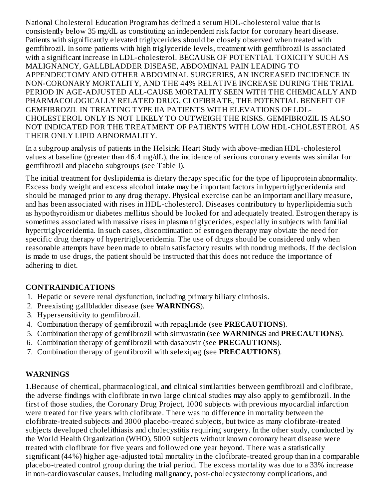National Cholesterol Education Program has defined a serum HDL-cholesterol value that is consistently below 35 mg/dL as constituting an independent risk factor for coronary heart disease. Patients with significantly elevated triglycerides should be closely observed when treated with gemfibrozil. In some patients with high triglyceride levels, treatment with gemfibrozil is associated with a significant increase in LDL-cholesterol. BECAUSE OF POTENTIAL TOXICITY SUCH AS MALIGNANCY, GALLBLADDER DISEASE, ABDOMINAL PAIN LEADING TO APPENDECTOMY AND OTHER ABDOMINAL SURGERIES, AN INCREASED INCIDENCE IN NON-CORONARY MORTALITY, AND THE 44% RELATIVE INCREASE DURING THE TRIAL PERIOD IN AGE-ADJUSTED ALL-CAUSE MORTALITY SEEN WITH THE CHEMICALLY AND PHARMACOLOGICALLY RELATED DRUG, CLOFIBRATE, THE POTENTIAL BENEFIT OF GEMFIBROZIL IN TREATING TYPE IIA PATIENTS WITH ELEVATIONS OF LDL-CHOLESTEROL ONLY IS NOT LIKELY TO OUTWEIGH THE RISKS. GEMFIBROZIL IS ALSO NOT INDICATED FOR THE TREATMENT OF PATIENTS WITH LOW HDL-CHOLESTEROL AS THEIR ONLY LIPID ABNORMALITY.

In a subgroup analysis of patients in the Helsinki Heart Study with above-median HDL-cholesterol values at baseline (greater than 46.4 mg/dL), the incidence of serious coronary events was similar for gemfibrozil and placebo subgroups (see Table I).

The initial treatment for dyslipidemia is dietary therapy specific for the type of lipoprotein abnormality. Excess body weight and excess alcohol intake may be important factors in hypertriglyceridemia and should be managed prior to any drug therapy. Physical exercise can be an important ancillary measure, and has been associated with rises in HDL-cholesterol. Diseases contributory to hyperlipidemia such as hypothyroidism or diabetes mellitus should be looked for and adequately treated. Estrogen therapy is sometimes associated with massive rises in plasma triglycerides, especially in subjects with familial hypertriglyceridemia. In such cases, discontinuation of estrogen therapy may obviate the need for specific drug therapy of hypertriglyceridemia. The use of drugs should be considered only when reasonable attempts have been made to obtain satisfactory results with nondrug methods. If the decision is made to use drugs, the patient should be instructed that this does not reduce the importance of adhering to diet.

#### **CONTRAINDICATIONS**

- 1. Hepatic or severe renal dysfunction, including primary biliary cirrhosis.
- 2. Preexisting gallbladder disease (see **WARNINGS**).
- 3. Hypersensitivity to gemfibrozil.
- 4. Combination therapy of gemfibrozil with repaglinide (see **PRECAUTIONS**).
- 5. Combination therapy of gemfibrozil with simvastatin (see **WARNINGS** and **PRECAUTIONS**).
- 6. Combination therapy of gemfibrozil with dasabuvir (see **PRECAUTIONS**).
- 7. Combination therapy of gemfibrozil with selexipag (see **PRECAUTIONS**).

# **WARNINGS**

1.Because of chemical, pharmacological, and clinical similarities between gemfibrozil and clofibrate, the adverse findings with clofibrate in two large clinical studies may also apply to gemfibrozil. In the first of those studies, the Coronary Drug Project, 1000 subjects with previous myocardial infarction were treated for five years with clofibrate. There was no difference in mortality between the clofibrate-treated subjects and 3000 placebo-treated subjects, but twice as many clofibrate-treated subjects developed cholelithiasis and cholecystitis requiring surgery. In the other study, conducted by the World Health Organization (WHO), 5000 subjects without known coronary heart disease were treated with clofibrate for five years and followed one year beyond. There was a statistically significant (44%) higher age-adjusted total mortality in the clofibrate-treated group than in a comparable placebo-treated control group during the trial period. The excess mortality was due to a 33% increase in non-cardiovascular causes, including malignancy, post-cholecystectomy complications, and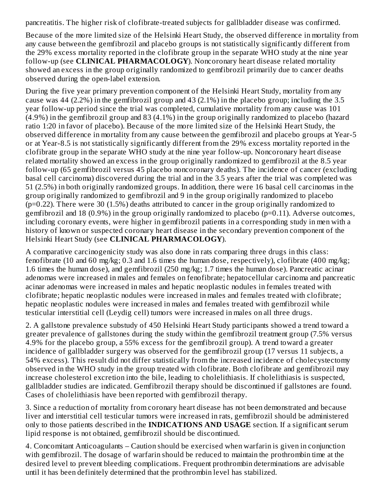pancreatitis. The higher risk of clofibrate-treated subjects for gallbladder disease was confirmed.

Because of the more limited size of the Helsinki Heart Study, the observed difference in mortality from any cause between the gemfibrozil and placebo groups is not statistically significantly different from the 29% excess mortality reported in the clofibrate group in the separate WHO study at the nine year follow-up (see **CLINICAL PHARMACOLOGY**). Noncoronary heart disease related mortality showed an excess in the group originally randomized to gemfibrozil primarily due to cancer deaths observed during the open-label extension.

During the five year primary prevention component of the Helsinki Heart Study, mortality from any cause was 44 (2.2%) in the gemfibrozil group and 43 (2.1%) in the placebo group; including the 3.5 year follow-up period since the trial was completed, cumulative mortality from any cause was 101 (4.9%) in the gemfibrozil group and 83 (4.1%) in the group originally randomized to placebo (hazard ratio 1:20 in favor of placebo). Because of the more limited size of the Helsinki Heart Study, the observed difference in mortality from any cause between the gemfibrozil and placebo groups at Year-5 or at Year-8.5 is not statistically significantly different from the 29% excess mortality reported in the clofibrate group in the separate WHO study at the nine year follow-up. Noncoronary heart disease related mortality showed an excess in the group originally randomized to gemfibrozil at the 8.5 year follow-up (65 gemfibrozil versus 45 placebo noncoronary deaths). The incidence of cancer (excluding basal cell carcinoma) discovered during the trial and in the 3.5 years after the trial was completed was 51 (2.5%) in both originally randomized groups. In addition, there were 16 basal cell carcinomas in the group originally randomized to gemfibrozil and 9 in the group originally randomized to placebo (p=0.22). There were 30 (1.5%) deaths attributed to cancer in the group originally randomized to gemfibrozil and 18 (0.9%) in the group originally randomized to placebo (p=0.11). Adverse outcomes, including coronary events, were higher in gemfibrozil patients in a corresponding study in men with a history of known or suspected coronary heart disease in the secondary prevention component of the Helsinki Heart Study (see **CLINICAL PHARMACOLOGY**).

A comparative carcinogenicity study was also done in rats comparing three drugs in this class: fenofibrate (10 and 60 mg/kg; 0.3 and 1.6 times the human dose, respectively), clofibrate (400 mg/kg; 1.6 times the human dose), and gemfibrozil (250 mg/kg; 1.7 times the human dose). Pancreatic acinar adenomas were increased in males and females on fenofibrate; hepatocellular carcinoma and pancreatic acinar adenomas were increased in males and hepatic neoplastic nodules in females treated with clofibrate; hepatic neoplastic nodules were increased in males and females treated with clofibrate; hepatic neoplastic nodules were increased in males and females treated with gemfibrozil while testicular interstitial cell (Leydig cell) tumors were increased in males on all three drugs.

2. A gallstone prevalence substudy of 450 Helsinki Heart Study participants showed a trend toward a greater prevalence of gallstones during the study within the gemfibrozil treatment group (7.5% versus 4.9% for the placebo group, a 55% excess for the gemfibrozil group). A trend toward a greater incidence of gallbladder surgery was observed for the gemfibrozil group (17 versus 11 subjects, a 54% excess). This result did not differ statistically from the increased incidence of cholecystectomy observed in the WHO study in the group treated with clofibrate. Both clofibrate and gemfibrozil may increase cholesterol excretion into the bile, leading to cholelithiasis. If cholelithiasis is suspected, gallbladder studies are indicated. Gemfibrozil therapy should be discontinued if gallstones are found. Cases of cholelithiasis have been reported with gemfibrozil therapy.

3. Since a reduction of mortality from coronary heart disease has not been demonstrated and because liver and interstitial cell testicular tumors were increased in rats, gemfibrozil should be administered only to those patients described in the **INDICATIONS AND USAGE** section. If a significant serum lipid response is not obtained, gemfibrozil should be discontinued.

4. Concomitant Anticoagulants – Caution should be exercised when warfarin is given in conjunction with gemfibrozil. The dosage of warfarin should be reduced to maintain the prothrombin time at the desired level to prevent bleeding complications. Frequent prothrombin determinations are advisable until it has been definitely determined that the prothrombin level has stabilized.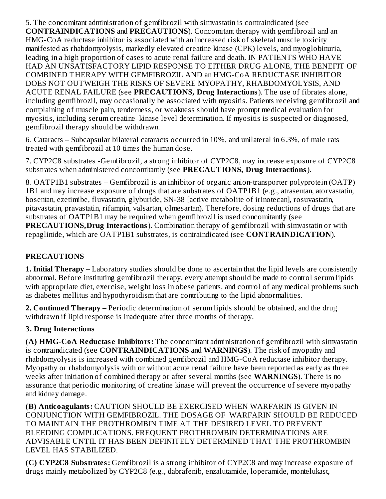5. The concomitant administration of gemfibrozil with simvastatin is contraindicated (see **CONTRAINDICATIONS** and **PRECAUTIONS**). Concomitant therapy with gemfibrozil and an HMG-CoA reductase inhibitor is associated with an increased risk of skeletal muscle toxicity manifested as rhabdomyolysis, markedly elevated creatine kinase (CPK) levels, and myoglobinuria, leading in a high proportion of cases to acute renal failure and death. IN PATIENTS WHO HAVE HAD AN UNSATISFACTORY LIPID RESPONSE TO EITHER DRUG ALONE, THE BENEFIT OF COMBINED THERAPY WITH GEMFIBROZIL AND an HMG-CoA REDUCTASE INHIBITOR DOES NOT OUTWEIGH THE RISKS OF SEVERE MYOPATHY, RHABDOMYOLYSIS, AND ACUTE RENAL FAILURE (see **PRECAUTIONS, Drug Interactions**). The use of fibrates alone, including gemfibrozil, may occasionally be associated with myositis. Patients receiving gemfibrozil and complaining of muscle pain, tenderness, or weakness should have prompt medical evaluation for myositis, including serum creatine–kinase level determination. If myositis is suspected or diagnosed, gemfibrozil therapy should be withdrawn.

6. Cataracts – Subcapsular bilateral cataracts occurred in 10%, and unilateral in 6.3%, of male rats treated with gemfibrozil at 10 times the human dose.

7. CYP2C8 substrates -Gemfibrozil, a strong inhibitor of CYP2C8, may increase exposure of CYP2C8 substrates when administered concomitantly (see **PRECAUTIONS, Drug Interactions**).

8. OATP1B1 substrates – Gemfibrozil is an inhibitor of organic anion-transporter polyprotein (OATP) 1B1 and may increase exposure of drugs that are substrates of OATP1B1 (e.g., atrasentan, atorvastatin, bosentan, ezetimibe, fluvastatin, glyburide, SN-38 [active metabolite of irinotecan], rosuvastatin, pitavastatin, pravastatin, rifampin, valsartan, olmesartan). Therefore, dosing reductions of drugs that are substrates of OATP1B1 may be required when gemfibrozil is used concomitantly (see **PRECAUTIONS,Drug Interactions**). Combination therapy of gemfibrozil with simvastatin or with repaglinide, which are OATP1B1 substrates, is contraindicated (see **CONTRAINDICATION**).

# **PRECAUTIONS**

**1. Initial Therapy** – Laboratory studies should be done to ascertain that the lipid levels are consistently abnormal. Before instituting gemfibrozil therapy, every attempt should be made to control serum lipids with appropriate diet, exercise, weight loss in obese patients, and control of any medical problems such as diabetes mellitus and hypothyroidism that are contributing to the lipid abnormalities.

**2. Continued Therapy** – Periodic determination of serum lipids should be obtained, and the drug withdrawn if lipid response is inadequate after three months of therapy.

# **3. Drug Interactions**

**(A) HMG-CoA Reductas e Inhibitors:** The concomitant administration of gemfibrozil with simvastatin is contraindicated (see **CONTRAINDICATIONS** and **WARNINGS**). The risk of myopathy and rhabdomyolysis is increased with combined gemfibrozil and HMG-CoA reductase inhibitor therapy. Myopathy or rhabdomyolysis with or without acute renal failure have been reported as early as three weeks after initiation of combined therapy or after several months (see **WARNINGS**). There is no assurance that periodic monitoring of creatine kinase will prevent the occurrence of severe myopathy and kidney damage.

**(B) Anticoagulants:** CAUTION SHOULD BE EXERCISED WHEN WARFARIN IS GIVEN IN CONJUNCTION WITH GEMFIBROZIL. THE DOSAGE OF WARFARIN SHOULD BE REDUCED TO MAINTAIN THE PROTHROMBIN TIME AT THE DESIRED LEVEL TO PREVENT BLEEDING COMPLICATIONS. FREQUENT PROTHROMBIN DETERMINATIONS ARE ADVISABLE UNTIL IT HAS BEEN DEFINITELY DETERMINED THAT THE PROTHROMBIN LEVEL HAS STABILIZED.

**(C) CYP2C8 Substrates:** Gemfibrozil is a strong inhibitor of CYP2C8 and may increase exposure of drugs mainly metabolized by CYP2C8 (e.g., dabrafenib, enzalutamide, loperamide, montelukast,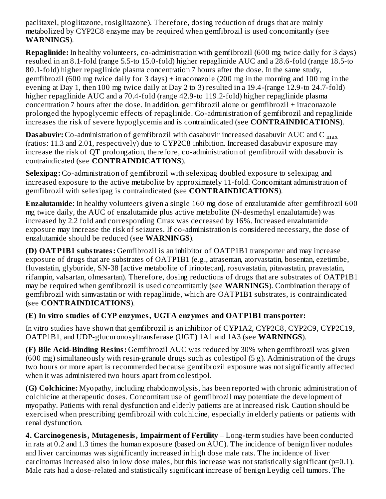paclitaxel, pioglitazone, rosiglitazone). Therefore, dosing reduction of drugs that are mainly metabolized by CYP2C8 enzyme may be required when gemfibrozil is used concomitantly (see **WARNINGS**).

**Repaglinide:** In healthy volunteers, co-administration with gemfibrozil (600 mg twice daily for 3 days) resulted in an 8.1-fold (range 5.5-to 15.0-fold) higher repaglinide AUC and a 28.6-fold (range 18.5-to 80.1-fold) higher repaglinide plasma concentration 7 hours after the dose. In the same study, gemfibrozil (600 mg twice daily for 3 days) + itraconazole (200 mg in the morning and 100 mg in the evening at Day 1, then 100 mg twice daily at Day 2 to 3) resulted in a 19.4-(range 12.9-to 24.7-fold) higher repaglinide AUC and a 70.4-fold (range 42.9-to 119.2-fold) higher repaglinide plasma concentration 7 hours after the dose. In addition, gemfibrozil alone or gemfibrozil + itraconazole prolonged the hypoglycemic effects of repaglinide. Co-administration of gemfibrozil and repaglinide increases the risk of severe hypoglycemia and is contraindicated (see **CONTRAINDICATIONS**).

**Dasabuvir:** Co-administration of gemfibrozil with dasabuvir increased dasabuvir AUC and C max(ratios: 11.3 and 2.01, respectively) due to CYP2C8 inhibition. Increased dasabuvir exposure may increase the risk of QT prolongation, therefore, co-administration of gemfibrozil with dasabuvir is contraindicated (see **CONTRAINDICATIONS**).

**Selexipag:** Co-administration of gemfibrozil with selexipag doubled exposure to selexipag and increased exposure to the active metabolite by approximately 11-fold. Concomitant administration of gemfibrozil with selexipag is contraindicated (see **CONTRAINDICATIONS**).

**Enzalutamide**: In healthy volunteers given a single 160 mg dose of enzalutamide after gemfibrozil 600 mg twice daily, the AUC of enzalutamide plus active metabolite (N-desmethyl enzalutamide) was increased by 2.2 fold and corresponding Cmax was decreased by 16%. Increased enzalutamide exposure may increase the risk of seizures. If co-administration is considered necessary, the dose of enzalutamide should be reduced (see **WARNINGS**).

**(D) OATP1B1 substrates:** Gemfibrozil is an inhibitor of OATP1B1 transporter and may increase exposure of drugs that are substrates of OATP1B1 (e.g., atrasentan, atorvastatin, bosentan, ezetimibe, fluvastatin, glyburide, SN-38 [active metabolite of irinotecan], rosuvastatin, pitavastatin, pravastatin, rifampin, valsartan, olmesartan). Therefore, dosing reductions of drugs that are substrates of OATP1B1 may be required when gemfibrozil is used concomitantly (see **WARNINGS**). Combination therapy of gemfibrozil with simvastatin or with repaglinide, which are OATP1B1 substrates, is contraindicated (see **CONTRAINDICATIONS**).

# **(E) In vitro studies of CYP enzymes, UGTA enzymes and OATP1B1 transporter:**

In vitro studies have shown that gemfibrozil is an inhibitor of CYP1A2, CYP2C8, CYP2C9, CYP2C19, OATP1B1, and UDP-glucuronosyltransferase (UGT) 1A1 and 1A3 (see **WARNINGS**).

**(F) Bile Acid-Binding Resins:** Gemfibrozil AUC was reduced by 30% when gemfibrozil was given (600 mg) simultaneously with resin-granule drugs such as colestipol (5 g). Administration of the drugs two hours or more apart is recommended because gemfibrozil exposure was not significantly affected when it was administered two hours apart from colestipol.

**(G) Colchicine:** Myopathy, including rhabdomyolysis, has been reported with chronic administration of colchicine at therapeutic doses. Concomitant use of gemfibrozil may potentiate the development of myopathy. Patients with renal dysfunction and elderly patients are at increased risk. Caution should be exercised when prescribing gemfibrozil with colchicine, especially in elderly patients or patients with renal dysfunction.

**4. Carcinogenesis, Mutagenesis, Impairment of Fertility** – Long-term studies have been conducted in rats at 0.2 and 1.3 times the human exposure (based on AUC). The incidence of benign liver nodules and liver carcinomas was significantly increased in high dose male rats. The incidence of liver carcinomas increased also in low dose males, but this increase was not statistically significant ( $p=0.1$ ). Male rats had a dose-related and statistically significant increase of benign Leydig cell tumors. The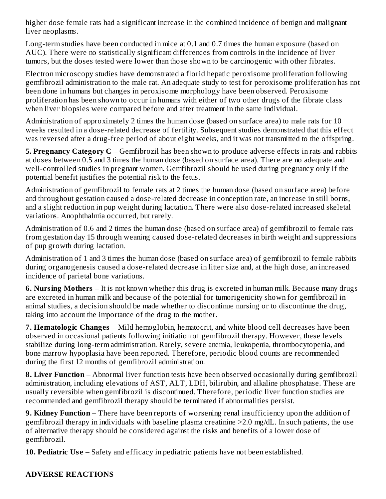higher dose female rats had a significant increase in the combined incidence of benign and malignant liver neoplasms.

Long-term studies have been conducted in mice at 0.1 and 0.7 times the human exposure (based on AUC). There were no statistically significant differences from controls in the incidence of liver tumors, but the doses tested were lower than those shown to be carcinogenic with other fibrates.

Electron microscopy studies have demonstrated a florid hepatic peroxisome proliferation following gemfibrozil administration to the male rat. An adequate study to test for peroxisome proliferation has not been done in humans but changes in peroxisome morphology have been observed. Peroxisome proliferation has been shown to occur in humans with either of two other drugs of the fibrate class when liver biopsies were compared before and after treatment in the same individual.

Administration of approximately 2 times the human dose (based on surface area) to male rats for 10 weeks resulted in a dose-related decrease of fertility. Subsequent studies demonstrated that this effect was reversed after a drug-free period of about eight weeks, and it was not transmitted to the offspring.

**5. Pregnancy Category C** – Gemfibrozil has been shown to produce adverse effects in rats and rabbits at doses between 0.5 and 3 times the human dose (based on surface area). There are no adequate and well-controlled studies in pregnant women. Gemfibrozil should be used during pregnancy only if the potential benefit justifies the potential risk to the fetus.

Administration of gemfibrozil to female rats at 2 times the human dose (based on surface area) before and throughout gestation caused a dose-related decrease in conception rate, an increase in still borns, and a slight reduction in pup weight during lactation. There were also dose-related increased skeletal variations. Anophthalmia occurred, but rarely.

Administration of 0.6 and 2 times the human dose (based on surface area) of gemfibrozil to female rats from gestation day 15 through weaning caused dose-related decreases in birth weight and suppressions of pup growth during lactation.

Administration of 1 and 3 times the human dose (based on surface area) of gemfibrozil to female rabbits during organogenesis caused a dose-related decrease in litter size and, at the high dose, an increased incidence of parietal bone variations.

**6. Nursing Mothers** – It is not known whether this drug is excreted in human milk. Because many drugs are excreted in human milk and because of the potential for tumorigenicity shown for gemfibrozil in animal studies, a decision should be made whether to discontinue nursing or to discontinue the drug, taking into account the importance of the drug to the mother.

**7. Hematologic Changes** – Mild hemoglobin, hematocrit, and white blood cell decreases have been observed in occasional patients following initiation of gemfibrozil therapy. However, these levels stabilize during long-term administration. Rarely, severe anemia, leukopenia, thrombocytopenia, and bone marrow hypoplasia have been reported. Therefore, periodic blood counts are recommended during the first 12 months of gemfibrozil administration.

**8. Liver Function** – Abnormal liver function tests have been observed occasionally during gemfibrozil administration, including elevations of AST, ALT, LDH, bilirubin, and alkaline phosphatase. These are usually reversible when gemfibrozil is discontinued. Therefore, periodic liver function studies are recommended and gemfibrozil therapy should be terminated if abnormalities persist.

**9. Kidney Function** – There have been reports of worsening renal insufficiency upon the addition of gemfibrozil therapy in individuals with baseline plasma creatinine >2.0 mg/dL. In such patients, the use of alternative therapy should be considered against the risks and benefits of a lower dose of gemfibrozil.

**10. Pediatric** Use – Safety and efficacy in pediatric patients have not been established.

# **ADVERSE REACTIONS**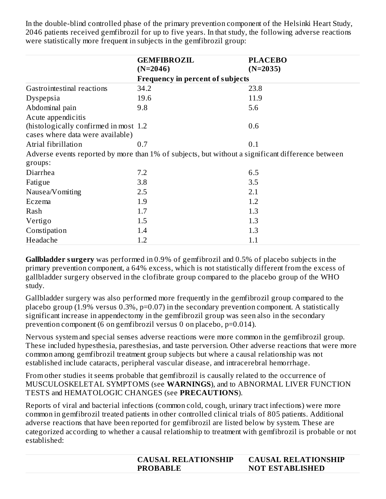In the double-blind controlled phase of the primary prevention component of the Helsinki Heart Study, 2046 patients received gemfibrozil for up to five years. In that study, the following adverse reactions were statistically more frequent in subjects in the gemfibrozil group:

|                                        | <b>GEMFIBROZIL</b>                                                                                | <b>PLACEBO</b> |  |  |  |  |
|----------------------------------------|---------------------------------------------------------------------------------------------------|----------------|--|--|--|--|
|                                        | $(N=2046)$<br><b>Frequency in percent of subjects</b>                                             | $(N=2035)$     |  |  |  |  |
| Gastrointestinal reactions             | 34.2                                                                                              | 23.8           |  |  |  |  |
| Dyspepsia                              | 19.6                                                                                              | 11.9           |  |  |  |  |
| Abdominal pain                         | 9.8                                                                                               | 5.6            |  |  |  |  |
| Acute appendicitis                     |                                                                                                   |                |  |  |  |  |
| (histologically confirmed in most 1.2) |                                                                                                   | 0.6            |  |  |  |  |
| cases where data were available)       |                                                                                                   |                |  |  |  |  |
| Atrial fibrillation<br>0.7<br>0.1      |                                                                                                   |                |  |  |  |  |
|                                        | Adverse events reported by more than 1% of subjects, but without a significant difference between |                |  |  |  |  |
| groups:                                |                                                                                                   |                |  |  |  |  |
| Diarrhea                               | 7.2                                                                                               | 6.5            |  |  |  |  |
| Fatigue                                | 3.8                                                                                               | 3.5            |  |  |  |  |
| Nausea/Vomiting                        | 2.5                                                                                               | 2.1            |  |  |  |  |
| Eczema                                 | 1.9                                                                                               | 1.2            |  |  |  |  |
| Rash                                   | 1.7                                                                                               | 1.3            |  |  |  |  |
| Vertigo                                | 1.5                                                                                               | 1.3            |  |  |  |  |
| Constipation                           | 1.4                                                                                               | 1.3            |  |  |  |  |
| Headache                               | 1.2                                                                                               | 1.1            |  |  |  |  |

**Gallbladder surgery** was performed in 0.9% of gemfibrozil and 0.5% of placebo subjects in the primary prevention component, a 64% excess, which is not statistically different from the excess of gallbladder surgery observed in the clofibrate group compared to the placebo group of the WHO study.

Gallbladder surgery was also performed more frequently in the gemfibrozil group compared to the placebo group (1.9% versus 0.3%, p=0.07) in the secondary prevention component. A statistically significant increase in appendectomy in the gemfibrozil group was seen also in the secondary prevention component (6 on gemfibrozil versus 0 on placebo, p=0.014).

Nervous system and special senses adverse reactions were more common in the gemfibrozil group. These included hypesthesia, paresthesias, and taste perversion. Other adverse reactions that were more common among gemfibrozil treatment group subjects but where a causal relationship was not established include cataracts, peripheral vascular disease, and intracerebral hemorrhage.

From other studies it seems probable that gemfibrozil is causally related to the occurrence of MUSCULOSKELETAL SYMPTOMS (see **WARNINGS**), and to ABNORMAL LIVER FUNCTION TESTS and HEMATOLOGIC CHANGES (see **PRECAUTIONS**).

Reports of viral and bacterial infections (common cold, cough, urinary tract infections) were more common in gemfibrozil treated patients in other controlled clinical trials of 805 patients. Additional adverse reactions that have been reported for gemfibrozil are listed below by system. These are categorized according to whether a causal relationship to treatment with gemfibrozil is probable or not established:

| <b>CAUSAL RELATIONSHIP</b> | <b>CAUSAL RELATIONSHIP</b> |
|----------------------------|----------------------------|
| <b>PROBABLE</b>            | <b>NOT ESTABLISHED</b>     |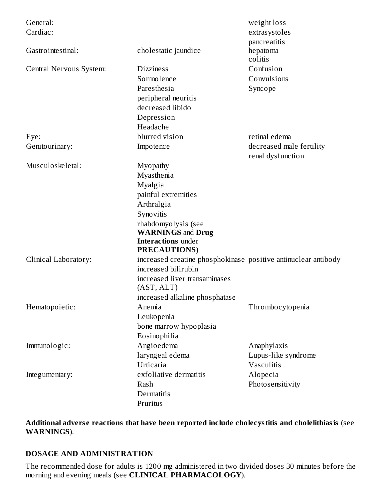| General:<br>Cardiac:    |                                                                | weight loss<br>extrasystoles<br>pancreatitis |
|-------------------------|----------------------------------------------------------------|----------------------------------------------|
| Gastrointestinal:       | cholestatic jaundice                                           | hepatoma<br>colitis                          |
| Central Nervous System: | <b>Dizziness</b>                                               | Confusion                                    |
|                         | Somnolence                                                     | Convulsions                                  |
|                         | Paresthesia                                                    | Syncope                                      |
|                         | peripheral neuritis                                            |                                              |
|                         | decreased libido                                               |                                              |
|                         | Depression                                                     |                                              |
|                         | Headache                                                       |                                              |
| Eye:                    | blurred vision                                                 | retinal edema                                |
| Genitourinary:          | Impotence                                                      | decreased male fertility                     |
|                         |                                                                | renal dysfunction                            |
| Musculoskeletal:        | Myopathy                                                       |                                              |
|                         | Myasthenia                                                     |                                              |
|                         | Myalgia                                                        |                                              |
|                         | painful extremities                                            |                                              |
|                         | Arthralgia                                                     |                                              |
|                         | Synovitis                                                      |                                              |
|                         | rhabdomyolysis (see                                            |                                              |
|                         | <b>WARNINGS and Drug</b>                                       |                                              |
|                         | <b>Interactions</b> under                                      |                                              |
|                         | PRECAUTIONS)                                                   |                                              |
| Clinical Laboratory:    | increased creatine phosphokinase positive antinuclear antibody |                                              |
|                         | increased bilirubin                                            |                                              |
|                         | increased liver transaminases<br>(AST,ALT)                     |                                              |
|                         | increased alkaline phosphatase                                 |                                              |
| Hematopoietic:          | Anemia                                                         | Thrombocytopenia                             |
|                         | Leukopenia                                                     |                                              |
|                         | bone marrow hypoplasia                                         |                                              |
|                         | Eosinophilia                                                   |                                              |
| Immunologic:            | Angioedema                                                     | Anaphylaxis                                  |
|                         | laryngeal edema                                                | Lupus-like syndrome                          |
|                         | Urticaria                                                      | Vasculitis                                   |
| Integumentary:          | exfoliative dermatitis                                         | Alopecia                                     |
|                         | Rash                                                           | Photosensitivity                             |
|                         | Dermatitis                                                     |                                              |
|                         | Pruritus                                                       |                                              |

**Additional advers e reactions that have been reported include cholecystitis and cholelithiasis** (see **WARNINGS**).

#### **DOSAGE AND ADMINISTRATION**

The recommended dose for adults is 1200 mg administered in two divided doses 30 minutes before the morning and evening meals (see **CLINICAL PHARMACOLOGY**).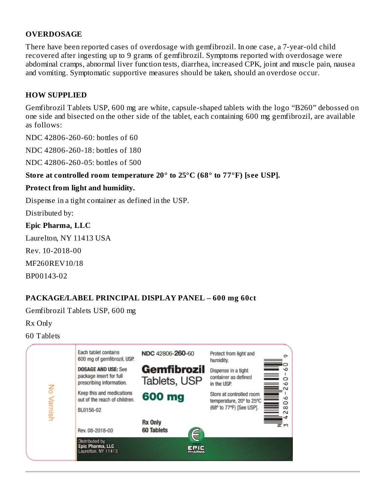## **OVERDOSAGE**

There have been reported cases of overdosage with gemfibrozil. In one case, a 7-year-old child recovered after ingesting up to 9 grams of gemfibrozil. Symptoms reported with overdosage were abdominal cramps, abnormal liver function tests, diarrhea, increased CPK, joint and muscle pain, nausea and vomiting. Symptomatic supportive measures should be taken, should an overdose occur.

## **HOW SUPPLIED**

Gemfibrozil Tablets USP, 600 mg are white, capsule-shaped tablets with the logo "B260" debossed on one side and bisected on the other side of the tablet, each containing 600 mg gemfibrozil, are available as follows:

NDC 42806-260-60: bottles of 60

NDC 42806-260-18: bottles of 180

NDC 42806-260-05: bottles of 500

## **Store at controlled room temperature 20° to 25°C (68° to 77°F) [s ee USP].**

#### **Protect from light and humidity.**

Dispense in a tight container as defined in the USP.

Distributed by:

#### **Epic Pharma, LLC**

Laurelton, NY 11413 USA

Rev. 10-2018-00

MF260REV10/18

BP00143-02

# **PACKAGE/LABEL PRINCIPAL DISPLAY PANEL – 600 mg 60ct**

Gemfibrozil Tablets USP, 600 mg

Rx Only

60 Tablets

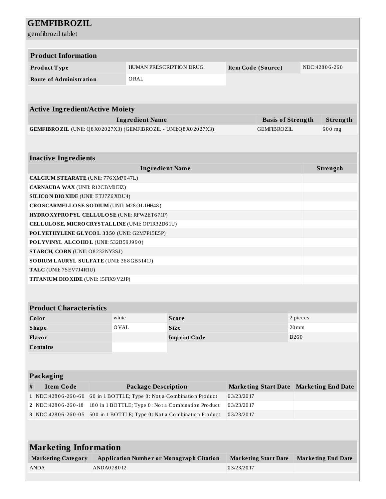|                                                                                        | <b>GEMFIBROZIL</b>                                                                                                                       |                                                    |                                                                |                     |                    |                             |             |                           |  |
|----------------------------------------------------------------------------------------|------------------------------------------------------------------------------------------------------------------------------------------|----------------------------------------------------|----------------------------------------------------------------|---------------------|--------------------|-----------------------------|-------------|---------------------------|--|
|                                                                                        | gemfibrozil tablet                                                                                                                       |                                                    |                                                                |                     |                    |                             |             |                           |  |
|                                                                                        |                                                                                                                                          |                                                    |                                                                |                     |                    |                             |             |                           |  |
|                                                                                        | <b>Product Information</b>                                                                                                               |                                                    |                                                                |                     |                    |                             |             |                           |  |
|                                                                                        | Product Type                                                                                                                             |                                                    | HUMAN PRESCRIPTION DRUG                                        |                     | Item Code (Source) |                             |             | NDC:42806-260             |  |
|                                                                                        | <b>Route of Administration</b>                                                                                                           |                                                    | ORAL                                                           |                     |                    |                             |             |                           |  |
|                                                                                        |                                                                                                                                          |                                                    |                                                                |                     |                    |                             |             |                           |  |
|                                                                                        |                                                                                                                                          |                                                    |                                                                |                     |                    |                             |             |                           |  |
|                                                                                        | <b>Active Ingredient/Active Moiety</b>                                                                                                   |                                                    |                                                                |                     |                    |                             |             |                           |  |
| <b>Ingredient Name</b><br><b>Basis of Strength</b>                                     |                                                                                                                                          |                                                    |                                                                |                     |                    |                             |             | Strength                  |  |
|                                                                                        |                                                                                                                                          |                                                    | GEMFIBROZIL (UNII: Q8X02027X3) (GEMFIBROZIL - UNII:Q8X02027X3) |                     |                    | <b>GEMFIBROZIL</b>          | 600 mg      |                           |  |
|                                                                                        |                                                                                                                                          |                                                    |                                                                |                     |                    |                             |             |                           |  |
|                                                                                        |                                                                                                                                          |                                                    |                                                                |                     |                    |                             |             |                           |  |
|                                                                                        | <b>Inactive Ingredients</b>                                                                                                              |                                                    |                                                                |                     |                    |                             |             |                           |  |
|                                                                                        |                                                                                                                                          |                                                    | <b>Ingredient Name</b>                                         |                     |                    |                             |             | Strength                  |  |
|                                                                                        | <b>CALCIUM STEARATE (UNII: 776 XM70 47L)</b>                                                                                             |                                                    |                                                                |                     |                    |                             |             |                           |  |
|                                                                                        | CARNAUBA WAX (UNII: R12CBM0EIZ)                                                                                                          |                                                    |                                                                |                     |                    |                             |             |                           |  |
|                                                                                        | <b>SILICON DIO XIDE (UNII: ETJ7Z6 XBU4)</b>                                                                                              |                                                    |                                                                |                     |                    |                             |             |                           |  |
|                                                                                        |                                                                                                                                          |                                                    | CROSCARMELLOSE SODIUM (UNII: M28OL1HH48)                       |                     |                    |                             |             |                           |  |
|                                                                                        |                                                                                                                                          |                                                    | HYDROXYPROPYL CELLULOSE (UNII: RFW2ET671P)                     |                     |                    |                             |             |                           |  |
|                                                                                        | CELLULOSE, MICRO CRYSTALLINE (UNII: OP1R32D61U)<br>POLYETHYLENE GLYCOL 3350 (UNII: G2M7P15E5P)                                           |                                                    |                                                                |                     |                    |                             |             |                           |  |
|                                                                                        | POLYVINYL ALCOHOL (UNII: 532B59J990)                                                                                                     |                                                    |                                                                |                     |                    |                             |             |                           |  |
|                                                                                        |                                                                                                                                          |                                                    |                                                                |                     |                    |                             |             |                           |  |
|                                                                                        | STARCH, CORN (UNII: O8232NY3SJ)<br>SO DIUM LAURYL SULFATE (UNII: 368GB5141J)                                                             |                                                    |                                                                |                     |                    |                             |             |                           |  |
|                                                                                        | TALC (UNII: 7SEV7J4R1U)                                                                                                                  |                                                    |                                                                |                     |                    |                             |             |                           |  |
|                                                                                        | TITANIUM DIO XIDE (UNII: 15FIX9 V2JP)                                                                                                    |                                                    |                                                                |                     |                    |                             |             |                           |  |
|                                                                                        |                                                                                                                                          |                                                    |                                                                |                     |                    |                             |             |                           |  |
|                                                                                        |                                                                                                                                          |                                                    |                                                                |                     |                    |                             |             |                           |  |
| <b>Product Characteristics</b>                                                         |                                                                                                                                          |                                                    |                                                                |                     |                    |                             |             |                           |  |
| Color                                                                                  |                                                                                                                                          |                                                    | white                                                          | <b>Score</b>        |                    |                             | 2 pieces    |                           |  |
| <b>Shape</b>                                                                           |                                                                                                                                          |                                                    | <b>OVAL</b>                                                    | <b>Size</b>         |                    | $20 \,\mathrm{mm}$          |             |                           |  |
| Flavor                                                                                 |                                                                                                                                          |                                                    |                                                                | <b>Imprint Code</b> |                    |                             | <b>B260</b> |                           |  |
| <b>Contains</b>                                                                        |                                                                                                                                          |                                                    |                                                                |                     |                    |                             |             |                           |  |
|                                                                                        |                                                                                                                                          |                                                    |                                                                |                     |                    |                             |             |                           |  |
|                                                                                        | Packaging                                                                                                                                |                                                    |                                                                |                     |                    |                             |             |                           |  |
| #                                                                                      | <b>Item Code</b>                                                                                                                         |                                                    | <b>Package Description</b>                                     |                     |                    | <b>Marketing Start Date</b> |             | <b>Marketing End Date</b> |  |
|                                                                                        | 1 NDC:42806-260-60                                                                                                                       |                                                    | 60 in 1 BOTTLE; Type 0: Not a Combination Product              |                     | 03/23/2017         |                             |             |                           |  |
|                                                                                        | 2 NDC:42806-260-18                                                                                                                       | 180 in 1 BOTTLE; Type 0: Not a Combination Product |                                                                |                     | 03/23/2017         |                             |             |                           |  |
| 3 NDC:42806-260-05<br>500 in 1 BOTTLE; Type 0: Not a Combination Product<br>03/23/2017 |                                                                                                                                          |                                                    |                                                                |                     |                    |                             |             |                           |  |
|                                                                                        |                                                                                                                                          |                                                    |                                                                |                     |                    |                             |             |                           |  |
|                                                                                        |                                                                                                                                          |                                                    |                                                                |                     |                    |                             |             |                           |  |
|                                                                                        | <b>Marketing Information</b>                                                                                                             |                                                    |                                                                |                     |                    |                             |             |                           |  |
|                                                                                        | <b>Marketing Category</b><br><b>Application Number or Monograph Citation</b><br><b>Marketing Start Date</b><br><b>Marketing End Date</b> |                                                    |                                                                |                     |                    |                             |             |                           |  |
| <b>ANDA</b>                                                                            |                                                                                                                                          | ANDA078012                                         |                                                                |                     | 03/23/2017         |                             |             |                           |  |
|                                                                                        |                                                                                                                                          |                                                    |                                                                |                     |                    |                             |             |                           |  |